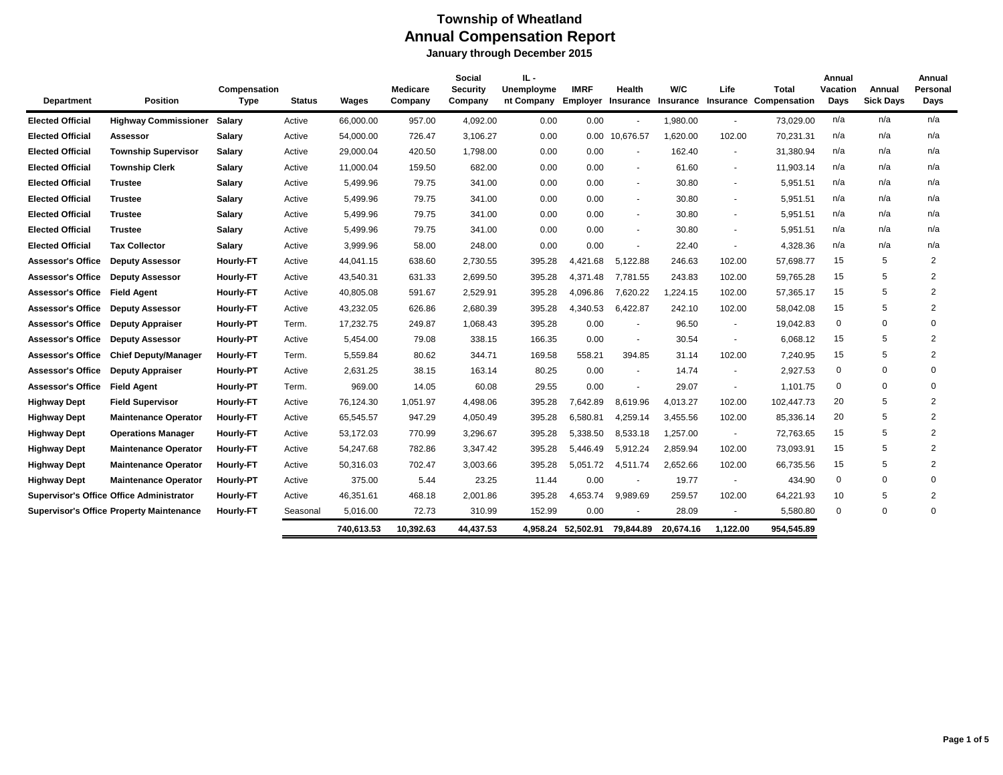| <b>Department</b>        | <b>Position</b>                                 | Compensation<br><b>Type</b> | <b>Status</b> | Wages      | <b>Medicare</b><br>Company | Social<br><b>Security</b><br>Company | IL-<br>Unemployme<br>nt Company | <b>IMRF</b><br><b>Employer Insurance</b> | Health         | W/C<br>Insurance | Life     | Total<br><b>Insurance Compensation</b> | Annual<br>Vacation<br>Days | Annual<br><b>Sick Days</b> | Annual<br>Personal<br>Days |
|--------------------------|-------------------------------------------------|-----------------------------|---------------|------------|----------------------------|--------------------------------------|---------------------------------|------------------------------------------|----------------|------------------|----------|----------------------------------------|----------------------------|----------------------------|----------------------------|
| <b>Elected Official</b>  | <b>Highway Commissioner</b>                     | Salary                      | Active        | 66,000.00  | 957.00                     | 4,092.00                             | 0.00                            | 0.00                                     |                | 1,980.00         | $\sim$   | 73,029.00                              | n/a                        | n/a                        | n/a                        |
| <b>Elected Official</b>  | Assessor                                        | Salary                      | Active        | 54,000.00  | 726.47                     | 3,106.27                             | 0.00                            | 0.00                                     | 10,676.57      | 1,620.00         | 102.00   | 70,231.31                              | n/a                        | n/a                        | n/a                        |
| <b>Elected Official</b>  | <b>Township Supervisor</b>                      | Salary                      | Active        | 29,000.04  | 420.50                     | 1,798.00                             | 0.00                            | 0.00                                     |                | 162.40           |          | 31,380.94                              | n/a                        | n/a                        | n/a                        |
| <b>Elected Official</b>  | <b>Township Clerk</b>                           | Salary                      | Active        | 11,000.04  | 159.50                     | 682.00                               | 0.00                            | 0.00                                     | $\sim$         | 61.60            | $\sim$   | 11,903.14                              | n/a                        | n/a                        | n/a                        |
| <b>Elected Official</b>  | <b>Trustee</b>                                  | <b>Salary</b>               | Active        | 5,499.96   | 79.75                      | 341.00                               | 0.00                            | 0.00                                     | $\blacksquare$ | 30.80            |          | 5,951.51                               | n/a                        | n/a                        | n/a                        |
| <b>Elected Official</b>  | <b>Trustee</b>                                  | Salary                      | Active        | 5,499.96   | 79.75                      | 341.00                               | 0.00                            | 0.00                                     | $\sim$         | 30.80            | $\sim$   | 5,951.51                               | n/a                        | n/a                        | n/a                        |
| <b>Elected Official</b>  | <b>Trustee</b>                                  | Salary                      | Active        | 5,499.96   | 79.75                      | 341.00                               | 0.00                            | 0.00                                     | $\blacksquare$ | 30.80            |          | 5,951.51                               | n/a                        | n/a                        | n/a                        |
| <b>Elected Official</b>  | <b>Trustee</b>                                  | Salary                      | Active        | 5,499.96   | 79.75                      | 341.00                               | 0.00                            | 0.00                                     | $\blacksquare$ | 30.80            | $\sim$   | 5,951.51                               | n/a                        | n/a                        | n/a                        |
| <b>Elected Official</b>  | <b>Tax Collector</b>                            | Salary                      | Active        | 3,999.96   | 58.00                      | 248.00                               | 0.00                            | 0.00                                     | $\blacksquare$ | 22.40            | $\sim$   | 4,328.36                               | n/a                        | n/a                        | n/a                        |
| <b>Assessor's Office</b> | <b>Deputy Assessor</b>                          | <b>Hourly-FT</b>            | Active        | 44,041.15  | 638.60                     | 2,730.55                             | 395.28                          | 4,421.68                                 | 5,122.88       | 246.63           | 102.00   | 57,698.77                              | 15                         | 5                          | $\overline{2}$             |
| <b>Assessor's Office</b> | <b>Deputy Assessor</b>                          | Hourly-FT                   | Active        | 43,540.31  | 631.33                     | 2,699.50                             | 395.28                          | 4,371.48                                 | 7,781.55       | 243.83           | 102.00   | 59,765.28                              | 15                         | 5                          | $\overline{2}$             |
| <b>Assessor's Office</b> | <b>Field Agent</b>                              | Hourly-FT                   | Active        | 40,805.08  | 591.67                     | 2,529.91                             | 395.28                          | 4,096.86                                 | 7,620.22       | ,224.15          | 102.00   | 57,365.17                              | 15                         | 5                          | $\overline{2}$             |
| <b>Assessor's Office</b> | <b>Deputy Assessor</b>                          | <b>Hourly-FT</b>            | Active        | 43,232.05  | 626.86                     | 2,680.39                             | 395.28                          | 4,340.53                                 | 6,422.87       | 242.10           | 102.00   | 58,042.08                              | 15                         | 5                          | $\overline{2}$             |
| <b>Assessor's Office</b> | <b>Deputy Appraiser</b>                         | Hourly-PT                   | Term.         | 17,232.75  | 249.87                     | 1,068.43                             | 395.28                          | 0.00                                     | $\blacksquare$ | 96.50            | $\sim$   | 19,042.83                              | $\mathbf 0$                | 0                          | $\Omega$                   |
| <b>Assessor's Office</b> | <b>Deputy Assessor</b>                          | <b>Hourly-PT</b>            | Active        | 5,454.00   | 79.08                      | 338.15                               | 166.35                          | 0.00                                     | $\blacksquare$ | 30.54            | $\sim$   | 6,068.12                               | 15                         | 5                          | 2                          |
| <b>Assessor's Office</b> | <b>Chief Deputy/Manager</b>                     | <b>Hourly-FT</b>            | Term.         | 5,559.84   | 80.62                      | 344.71                               | 169.58                          | 558.21                                   | 394.85         | 31.14            | 102.00   | 7,240.95                               | 15                         | 5                          | 2                          |
| <b>Assessor's Office</b> | <b>Deputy Appraiser</b>                         | <b>Hourly-PT</b>            | Active        | 2,631.25   | 38.15                      | 163.14                               | 80.25                           | 0.00                                     |                | 14.74            |          | 2,927.53                               | $\mathbf 0$                | $\mathbf 0$                | $\Omega$                   |
| <b>Assessor's Office</b> | <b>Field Agent</b>                              | Hourly-PT                   | Term.         | 969.00     | 14.05                      | 60.08                                | 29.55                           | 0.00                                     | $\blacksquare$ | 29.07            | $\sim$   | 1,101.75                               | 0                          | $\mathbf 0$                | $\mathbf 0$                |
| <b>Highway Dept</b>      | <b>Field Supervisor</b>                         | Hourly-FT                   | Active        | 76,124.30  | 1,051.97                   | 4,498.06                             | 395.28                          | 7,642.89                                 | 8,619.96       | 4,013.27         | 102.00   | 102,447.73                             | 20                         | 5                          | $\overline{2}$             |
| <b>Highway Dept</b>      | <b>Maintenance Operator</b>                     | <b>Hourly-FT</b>            | Active        | 65,545.57  | 947.29                     | 4,050.49                             | 395.28                          | 6,580.81                                 | 4,259.14       | 3,455.56         | 102.00   | 85,336.14                              | 20                         | 5                          | 2                          |
| <b>Highway Dept</b>      | <b>Operations Manager</b>                       | <b>Hourly-FT</b>            | Active        | 53,172.03  | 770.99                     | 3,296.67                             | 395.28                          | 5,338.50                                 | 8,533.18       | 1,257.00         | $\sim$   | 72,763.65                              | 15                         | 5                          | $\overline{2}$             |
| <b>Highway Dept</b>      | <b>Maintenance Operator</b>                     | <b>Hourly-FT</b>            | Active        | 54,247.68  | 782.86                     | 3,347.42                             | 395.28                          | 5,446.49                                 | 5,912.24       | 2,859.94         | 102.00   | 73,093.91                              | 15                         | 5                          | $\overline{2}$             |
| <b>Highway Dept</b>      | <b>Maintenance Operator</b>                     | <b>Hourly-FT</b>            | Active        | 50,316.03  | 702.47                     | 3,003.66                             | 395.28                          | 5,051.72                                 | 4,511.74       | 2,652.66         | 102.00   | 66,735.56                              | 15                         | 5                          | $\overline{2}$             |
| <b>Highway Dept</b>      | <b>Maintenance Operator</b>                     | <b>Hourly-PT</b>            | Active        | 375.00     | 5.44                       | 23.25                                | 11.44                           | 0.00                                     | $\blacksquare$ | 19.77            | $\sim$   | 434.90                                 | $\mathbf 0$                | $\Omega$                   | $\Omega$                   |
|                          | <b>Supervisor's Office Office Administrator</b> | Hourly-FT                   | Active        | 46,351.61  | 468.18                     | 2,001.86                             | 395.28                          | 4,653.74                                 | 9,989.69       | 259.57           | 102.00   | 64,221.93                              | 10                         | 5                          | $\overline{2}$             |
|                          | <b>Supervisor's Office Property Maintenance</b> | <b>Hourly-FT</b>            | Seasonal      | 5,016.00   | 72.73                      | 310.99                               | 152.99                          | 0.00                                     | $\sim$         | 28.09            | $\sim$   | 5,580.80                               | $\mathbf 0$                | $\Omega$                   | $\Omega$                   |
|                          |                                                 |                             |               | 740,613.53 | 10,392.63                  | 44.437.53                            |                                 | 4,958.24 52,502.91                       | 79,844.89      | 20.674.16        | 1.122.00 | 954.545.89                             |                            |                            |                            |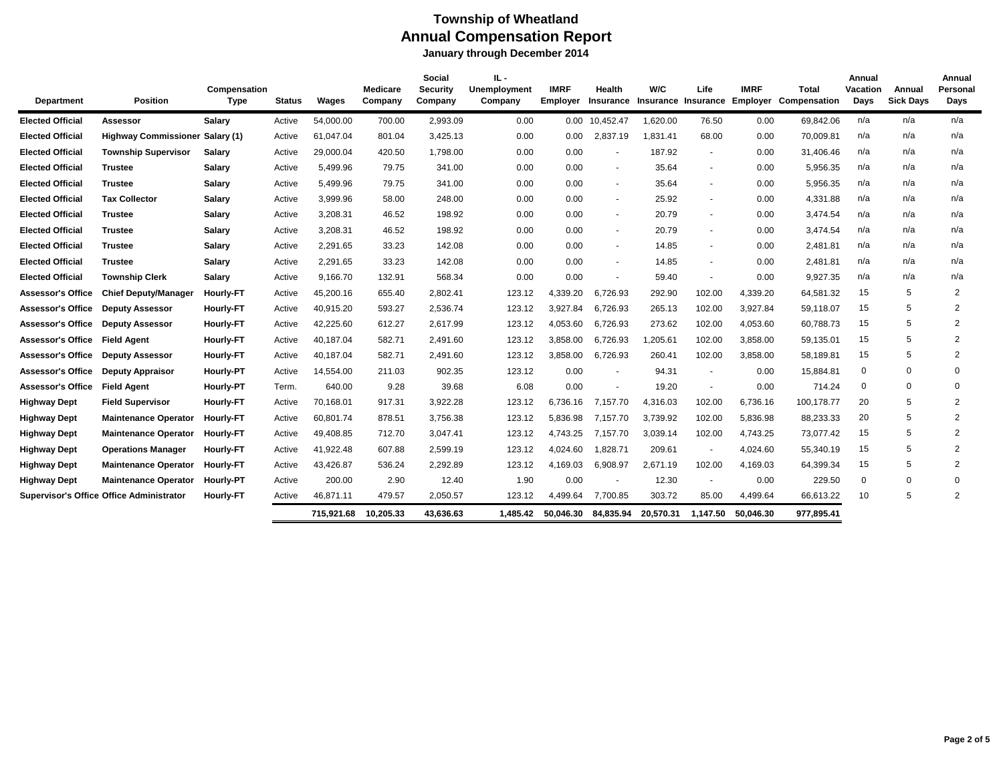| <b>Department</b>        | <b>Position</b>                                 | Compensation<br><b>Type</b> | <b>Status</b> | Wages      | Medicare<br>Company | Social<br><b>Security</b><br>Company | IL -<br><b>Unemployment</b><br>Company | <b>IMRF</b><br>Employer | <b>Health</b><br><b>Insurance</b> | W/C<br>Insurance Insurance | Life                     | <b>IMRF</b><br>Employer | Total<br>Compensation | Annual<br>Vacation<br>Days | Annual<br><b>Sick Days</b> | Annual<br>Personal<br>Days |
|--------------------------|-------------------------------------------------|-----------------------------|---------------|------------|---------------------|--------------------------------------|----------------------------------------|-------------------------|-----------------------------------|----------------------------|--------------------------|-------------------------|-----------------------|----------------------------|----------------------------|----------------------------|
| <b>Elected Official</b>  | Assessor                                        | <b>Salary</b>               | Active        | 54,000.00  | 700.00              | 2,993.09                             | 0.00                                   | $0.00\,$                | 10,452.47                         | 1,620.00                   | 76.50                    | 0.00                    | 69,842.06             | n/a                        | n/a                        | n/a                        |
| <b>Elected Official</b>  | Highway Commissioner Salary (1)                 |                             | Active        | 61,047.04  | 801.04              | 3,425.13                             | 0.00                                   | 0.00                    | 2,837.19                          | 1,831.41                   | 68.00                    | 0.00                    | 70,009.81             | n/a                        | n/a                        | n/a                        |
| <b>Elected Official</b>  | <b>Township Supervisor</b>                      | Salary                      | Active        | 29,000.04  | 420.50              | 1,798.00                             | 0.00                                   | 0.00                    | $\overline{\phantom{a}}$          | 187.92                     | $\overline{\phantom{a}}$ | 0.00                    | 31,406.46             | n/a                        | n/a                        | n/a                        |
| <b>Elected Official</b>  | <b>Trustee</b>                                  | <b>Salary</b>               | Active        | 5,499.96   | 79.75               | 341.00                               | 0.00                                   | 0.00                    | $\sim$                            | 35.64                      |                          | 0.00                    | 5,956.35              | n/a                        | n/a                        | n/a                        |
| <b>Elected Official</b>  | <b>Trustee</b>                                  | <b>Salary</b>               | Active        | 5,499.96   | 79.75               | 341.00                               | 0.00                                   | 0.00                    | $\sim$                            | 35.64                      | $\sim$                   | 0.00                    | 5,956.35              | n/a                        | n/a                        | n/a                        |
| <b>Elected Official</b>  | <b>Tax Collector</b>                            | Salary                      | Active        | 3,999.96   | 58.00               | 248.00                               | 0.00                                   | 0.00                    | $\sim$                            | 25.92                      | $\sim$                   | 0.00                    | 4,331.88              | n/a                        | n/a                        | n/a                        |
| <b>Elected Official</b>  | <b>Trustee</b>                                  | <b>Salary</b>               | Active        | 3,208.31   | 46.52               | 198.92                               | 0.00                                   | 0.00                    | $\overline{\phantom{a}}$          | 20.79                      |                          | 0.00                    | 3,474.54              | n/a                        | n/a                        | n/a                        |
| <b>Elected Official</b>  | <b>Trustee</b>                                  | <b>Salary</b>               | Active        | 3,208.31   | 46.52               | 198.92                               | 0.00                                   | 0.00                    | $\sim$                            | 20.79                      |                          | 0.00                    | 3,474.54              | n/a                        | n/a                        | n/a                        |
| <b>Elected Official</b>  | <b>Trustee</b>                                  | Salary                      | Active        | 2,291.65   | 33.23               | 142.08                               | 0.00                                   | 0.00                    | $\sim$                            | 14.85                      |                          | 0.00                    | 2,481.81              | n/a                        | n/a                        | n/a                        |
| <b>Elected Official</b>  | <b>Trustee</b>                                  | Salary                      | Active        | 2,291.65   | 33.23               | 142.08                               | 0.00                                   | 0.00                    | $\overline{\phantom{a}}$          | 14.85                      |                          | 0.00                    | 2,481.81              | n/a                        | n/a                        | n/a                        |
| <b>Elected Official</b>  | <b>Township Clerk</b>                           | <b>Salary</b>               | Active        | 9,166.70   | 132.91              | 568.34                               | 0.00                                   | 0.00                    | $\overline{\phantom{a}}$          | 59.40                      | $\sim$                   | 0.00                    | 9,927.35              | n/a                        | n/a                        | n/a                        |
| <b>Assessor's Office</b> | <b>Chief Deputy/Manager</b>                     | <b>Hourly-FT</b>            | Active        | 45,200.16  | 655.40              | 2,802.41                             | 123.12                                 | 4,339.20                | 6,726.93                          | 292.90                     | 102.00                   | 4,339.20                | 64,581.32             | 15                         | 5                          | $\overline{2}$             |
| <b>Assessor's Office</b> | <b>Deputy Assessor</b>                          | Hourly-FT                   | Active        | 40,915.20  | 593.27              | 2,536.74                             | 123.12                                 | 3,927.84                | 6,726.93                          | 265.13                     | 102.00                   | 3,927.84                | 59,118.07             | 15                         | 5                          | $\overline{2}$             |
| <b>Assessor's Office</b> | <b>Deputy Assessor</b>                          | Hourly-FT                   | Active        | 42,225.60  | 612.27              | 2,617.99                             | 123.12                                 | 4,053.60                | 6,726.93                          | 273.62                     | 102.00                   | 4,053.60                | 60,788.73             | 15                         | 5                          | $\overline{2}$             |
| <b>Assessor's Office</b> | <b>Field Agent</b>                              | Hourly-FT                   | Active        | 40,187.04  | 582.71              | 2,491.60                             | 123.12                                 | 3,858.00                | 6,726.93                          | 1,205.61                   | 102.00                   | 3,858.00                | 59,135.01             | 15                         | 5                          | $\overline{2}$             |
| <b>Assessor's Office</b> | <b>Deputy Assessor</b>                          | <b>Hourly-FT</b>            | Active        | 40,187.04  | 582.71              | 2,491.60                             | 123.12                                 | 3.858.00                | 6,726.93                          | 260.41                     | 102.00                   | 3,858.00                | 58,189.81             | 15                         | 5                          | $\overline{2}$             |
| <b>Assessor's Office</b> | <b>Deputy Appraisor</b>                         | Hourly-PT                   | Active        | 14,554.00  | 211.03              | 902.35                               | 123.12                                 | 0.00                    | $\overline{\phantom{a}}$          | 94.31                      | $\sim$                   | 0.00                    | 15,884.81             | $\mathbf 0$                | 0                          | $\mathbf 0$                |
| <b>Assessor's Office</b> | <b>Field Agent</b>                              | Hourly-PT                   | Term.         | 640.00     | 9.28                | 39.68                                | 6.08                                   | 0.00                    | $\overline{\phantom{a}}$          | 19.20                      |                          | 0.00                    | 714.24                | 0                          | $\Omega$                   | $\Omega$                   |
| <b>Highway Dept</b>      | <b>Field Supervisor</b>                         | <b>Hourly-FT</b>            | Active        | 70,168.01  | 917.31              | 3,922.28                             | 123.12                                 | 6.736.16                | 7,157.70                          | 4,316.03                   | 102.00                   | 6,736.16                | 100,178.77            | 20                         | 5                          | $\overline{2}$             |
| <b>Highway Dept</b>      | <b>Maintenance Operator</b>                     | <b>Hourly-FT</b>            | Active        | 60,801.74  | 878.51              | 3,756.38                             | 123.12                                 | 5,836.98                | 7,157.70                          | 3,739.92                   | 102.00                   | 5,836.98                | 88,233.33             | 20                         | 5                          | $\overline{2}$             |
| <b>Highway Dept</b>      | <b>Maintenance Operator</b>                     | <b>Hourly-FT</b>            | Active        | 49,408.85  | 712.70              | 3,047.41                             | 123.12                                 | 4.743.25                | 7.157.70                          | 3,039.14                   | 102.00                   | 4,743.25                | 73.077.42             | 15                         | 5                          | $\overline{2}$             |
| <b>Highway Dept</b>      | <b>Operations Manager</b>                       | <b>Hourly-FT</b>            | Active        | 41,922.48  | 607.88              | 2,599.19                             | 123.12                                 | 4.024.60                | 1,828.71                          | 209.61                     | $\sim$                   | 4,024.60                | 55,340.19             | 15                         | 5                          | $\overline{2}$             |
| <b>Highway Dept</b>      | <b>Maintenance Operator</b>                     | <b>Hourly-FT</b>            | Active        | 43,426.87  | 536.24              | 2,292.89                             | 123.12                                 | 4,169.03                | 6,908.97                          | 2,671.19                   | 102.00                   | 4,169.03                | 64,399.34             | 15                         | 5                          | $\overline{2}$             |
| <b>Highway Dept</b>      | <b>Maintenance Operator</b>                     | <b>Hourly-PT</b>            | Active        | 200.00     | 2.90                | 12.40                                | 1.90                                   | 0.00                    |                                   | 12.30                      |                          | 0.00                    | 229.50                | $\mathbf 0$                | $\Omega$                   | $\mathbf 0$                |
|                          | <b>Supervisor's Office Office Administrator</b> | <b>Hourly-FT</b>            | Active        | 46,871.11  | 479.57              | 2,050.57                             | 123.12                                 | 4.499.64                | 7,700.85                          | 303.72                     | 85.00                    | 4,499.64                | 66,613.22             | 10                         | 5                          | $\overline{2}$             |
|                          |                                                 |                             |               | 715.921.68 | 10.205.33           | 43.636.63                            | 1.485.42                               | 50.046.30               | 84,835.94                         | 20.570.31                  | 1.147.50                 | 50.046.30               | 977.895.41            |                            |                            |                            |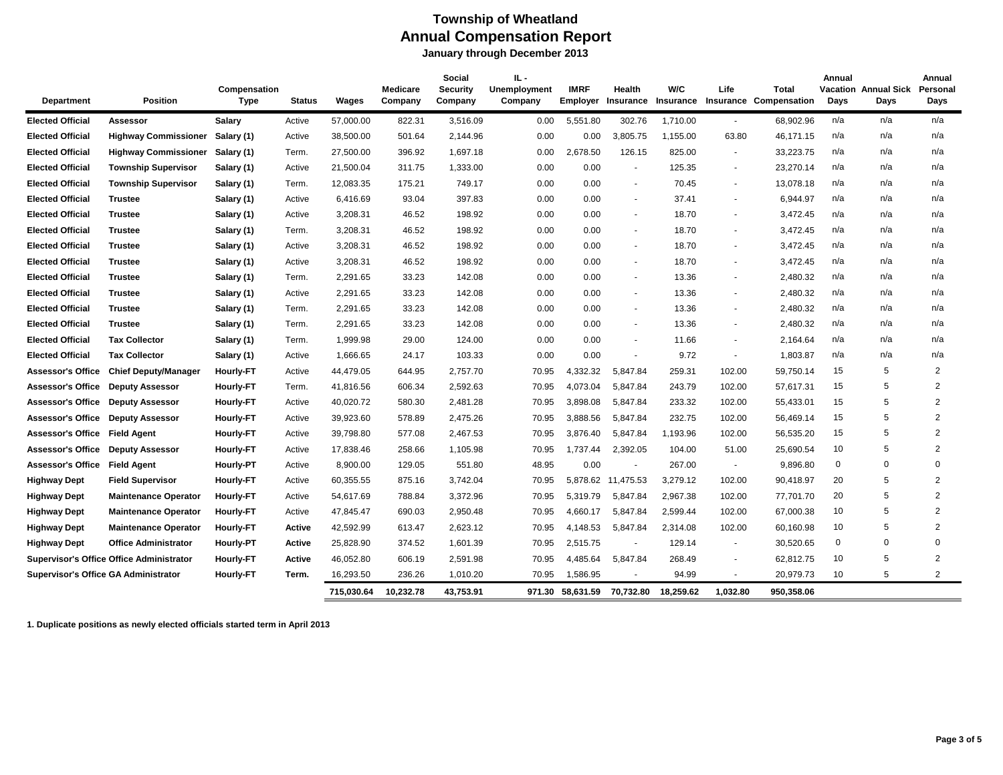# **Township of Wheatland Annual Compensation Report**

 **January through December 2013**

|                                             |                                                 | Compensation     |               |            | <b>Medicare</b> | Social<br><b>Security</b> | IL -<br><b>Unemployment</b> | <b>IMRF</b> | Health                   | W/C       | Life                     | Total                            | Annual      | <b>Vacation Annual Sick</b> | Annual<br>Personal |
|---------------------------------------------|-------------------------------------------------|------------------|---------------|------------|-----------------|---------------------------|-----------------------------|-------------|--------------------------|-----------|--------------------------|----------------------------------|-------------|-----------------------------|--------------------|
| <b>Department</b>                           | <b>Position</b>                                 | Type             | <b>Status</b> | Wages      | Company         | Company                   | Company                     | Employer    | Insurance                |           |                          | Insurance Insurance Compensation | Days        | Days                        | Days               |
| <b>Elected Official</b>                     | <b>Assessor</b>                                 | <b>Salary</b>    | Active        | 57.000.00  | 822.31          | 3,516.09                  | 0.00                        | 5,551.80    | 302.76                   | 1,710.00  | $\blacksquare$           | 68,902.96                        | n/a         | n/a                         | n/a                |
| <b>Elected Official</b>                     | <b>Highway Commissioner</b>                     | Salary (1)       | Active        | 38,500.00  | 501.64          | 2,144.96                  | 0.00                        | 0.00        | 3,805.75                 | 1,155.00  | 63.80                    | 46,171.15                        | n/a         | n/a                         | n/a                |
| <b>Elected Official</b>                     | <b>Highway Commissioner</b>                     | Salary (1)       | Term.         | 27,500.00  | 396.92          | 1,697.18                  | 0.00                        | 2.678.50    | 126.15                   | 825.00    | $\blacksquare$           | 33,223.75                        | n/a         | n/a                         | n/a                |
| <b>Elected Official</b>                     | <b>Township Supervisor</b>                      | Salary (1)       | Active        | 21,500.04  | 311.75          | 1,333.00                  | 0.00                        | 0.00        | $\sim$                   | 125.35    | $\blacksquare$           | 23,270.14                        | n/a         | n/a                         | n/a                |
| <b>Elected Official</b>                     | <b>Township Supervisor</b>                      | Salary (1)       | Term.         | 12,083.35  | 175.21          | 749.17                    | 0.00                        | 0.00        | $\sim$                   | 70.45     | $\blacksquare$           | 13,078.18                        | n/a         | n/a                         | n/a                |
| <b>Elected Official</b>                     | <b>Trustee</b>                                  | Salary (1)       | Active        | 6,416.69   | 93.04           | 397.83                    | 0.00                        | 0.00        | $\sim$                   | 37.41     | $\blacksquare$           | 6,944.97                         | n/a         | n/a                         | n/a                |
| <b>Elected Official</b>                     | <b>Trustee</b>                                  | Salary (1)       | Active        | 3,208.31   | 46.52           | 198.92                    | 0.00                        | 0.00        | $\sim$                   | 18.70     | $\blacksquare$           | 3,472.45                         | n/a         | n/a                         | n/a                |
| <b>Elected Official</b>                     | <b>Trustee</b>                                  | Salary (1)       | Term.         | 3,208.31   | 46.52           | 198.92                    | 0.00                        | 0.00        | $\sim$                   | 18.70     | $\blacksquare$           | 3,472.45                         | n/a         | n/a                         | n/a                |
| <b>Elected Official</b>                     | <b>Trustee</b>                                  | Salary (1)       | Active        | 3,208.31   | 46.52           | 198.92                    | 0.00                        | 0.00        | $\overline{\phantom{a}}$ | 18.70     | $\overline{\phantom{a}}$ | 3,472.45                         | n/a         | n/a                         | n/a                |
| <b>Elected Official</b>                     | <b>Trustee</b>                                  | Salary (1)       | Active        | 3,208.31   | 46.52           | 198.92                    | 0.00                        | 0.00        | $\sim$                   | 18.70     | $\blacksquare$           | 3,472.45                         | n/a         | n/a                         | n/a                |
| <b>Elected Official</b>                     | <b>Trustee</b>                                  | Salary (1)       | Term.         | 2,291.65   | 33.23           | 142.08                    | 0.00                        | 0.00        | $\sim$                   | 13.36     | $\blacksquare$           | 2,480.32                         | n/a         | n/a                         | n/a                |
| <b>Elected Official</b>                     | <b>Trustee</b>                                  | Salary (1)       | Active        | 2,291.65   | 33.23           | 142.08                    | 0.00                        | 0.00        | $\sim$                   | 13.36     | $\overline{\phantom{a}}$ | 2,480.32                         | n/a         | n/a                         | n/a                |
| <b>Elected Official</b>                     | <b>Trustee</b>                                  | Salary (1)       | Term.         | 2,291.65   | 33.23           | 142.08                    | 0.00                        | 0.00        | $\sim$                   | 13.36     | $\blacksquare$           | 2,480.32                         | n/a         | n/a                         | n/a                |
| <b>Elected Official</b>                     | <b>Trustee</b>                                  | Salary (1)       | Term.         | 2,291.65   | 33.23           | 142.08                    | 0.00                        | 0.00        | $\sim$                   | 13.36     | $\overline{\phantom{a}}$ | 2,480.32                         | n/a         | n/a                         | n/a                |
| <b>Elected Official</b>                     | <b>Tax Collector</b>                            | Salary (1)       | Term.         | 1,999.98   | 29.00           | 124.00                    | 0.00                        | 0.00        | $\sim$                   | 11.66     | $\blacksquare$           | 2,164.64                         | n/a         | n/a                         | n/a                |
| <b>Elected Official</b>                     | <b>Tax Collector</b>                            | Salary (1)       | Active        | 1,666.65   | 24.17           | 103.33                    | 0.00                        | 0.00        | $\sim$                   | 9.72      | $\blacksquare$           | 1,803.87                         | n/a         | n/a                         | n/a                |
| <b>Assessor's Office</b>                    | <b>Chief Deputy/Manager</b>                     | <b>Hourly-FT</b> | Active        | 44,479.05  | 644.95          | 2,757.70                  | 70.95                       | 4,332.32    | 5,847.84                 | 259.31    | 102.00                   | 59,750.14                        | 15          | 5                           | 2                  |
| <b>Assessor's Office</b>                    | <b>Deputy Assessor</b>                          | <b>Hourly-FT</b> | Term.         | 41,816.56  | 606.34          | 2,592.63                  | 70.95                       | 4,073.04    | 5,847.84                 | 243.79    | 102.00                   | 57,617.31                        | 15          | 5                           | $\overline{2}$     |
| <b>Assessor's Office</b>                    | <b>Deputy Assessor</b>                          | Hourly-FT        | Active        | 40,020.72  | 580.30          | 2,481.28                  | 70.95                       | 3,898.08    | 5,847.84                 | 233.32    | 102.00                   | 55,433.01                        | 15          | 5                           | $\overline{2}$     |
| <b>Assessor's Office</b>                    | <b>Deputy Assessor</b>                          | Hourly-FT        | Active        | 39,923.60  | 578.89          | 2,475.26                  | 70.95                       | 3,888.56    | 5,847.84                 | 232.75    | 102.00                   | 56,469.14                        | 15          | 5                           | $\overline{2}$     |
| <b>Assessor's Office</b>                    | <b>Field Agent</b>                              | <b>Hourly-FT</b> | Active        | 39,798.80  | 577.08          | 2,467.53                  | 70.95                       | 3,876.40    | 5,847.84                 | 1,193.96  | 102.00                   | 56,535.20                        | 15          | 5                           | $\overline{2}$     |
| <b>Assessor's Office</b>                    | <b>Deputy Assessor</b>                          | <b>Hourly-FT</b> | Active        | 17,838.46  | 258.66          | 1,105.98                  | 70.95                       | 1,737.44    | 2,392.05                 | 104.00    | 51.00                    | 25,690.54                        | 10          | 5                           | $\overline{2}$     |
| <b>Assessor's Office</b>                    | <b>Field Agent</b>                              | <b>Hourly-PT</b> | Active        | 8,900.00   | 129.05          | 551.80                    | 48.95                       | 0.00        | $\sim$                   | 267.00    | $\blacksquare$           | 9,896.80                         | $\mathbf 0$ | 0                           | $\mathbf 0$        |
| Highway Dept                                | <b>Field Supervisor</b>                         | <b>Hourly-FT</b> | Active        | 60,355.55  | 875.16          | 3,742.04                  | 70.95                       |             | 5,878.62 11,475.53       | 3,279.12  | 102.00                   | 90,418.97                        | 20          | 5                           | $\overline{2}$     |
| <b>Highway Dept</b>                         | <b>Maintenance Operator</b>                     | <b>Hourly-FT</b> | Active        | 54,617.69  | 788.84          | 3,372.96                  | 70.95                       | 5,319.79    | 5,847.84                 | 2,967.38  | 102.00                   | 77,701.70                        | 20          | 5                           | $\overline{2}$     |
| <b>Highway Dept</b>                         | <b>Maintenance Operator</b>                     | <b>Hourly-FT</b> | Active        | 47,845.47  | 690.03          | 2,950.48                  | 70.95                       | 4.660.17    | 5,847.84                 | 2.599.44  | 102.00                   | 67,000.38                        | 10          | 5                           | $\overline{2}$     |
| <b>Highway Dept</b>                         | <b>Maintenance Operator</b>                     | <b>Hourly-FT</b> | Active        | 42,592.99  | 613.47          | 2,623.12                  | 70.95                       | 4,148.53    | 5,847.84                 | 2,314.08  | 102.00                   | 60,160.98                        | 10          | 5                           | $\overline{2}$     |
| Highway Dept                                | <b>Office Administrator</b>                     | Hourly-PT        | Active        | 25,828.90  | 374.52          | 1,601.39                  | 70.95                       | 2,515.75    |                          | 129.14    | $\overline{\phantom{a}}$ | 30,520.65                        | $\mathbf 0$ | 0                           | $\mathbf 0$        |
|                                             | <b>Supervisor's Office Office Administrator</b> | <b>Hourly-FT</b> | Active        | 46,052.80  | 606.19          | 2,591.98                  | 70.95                       | 4,485.64    | 5,847.84                 | 268.49    | $\overline{\phantom{a}}$ | 62,812.75                        | 10          | 5                           | $\overline{2}$     |
| <b>Supervisor's Office GA Administrator</b> |                                                 | <b>Hourly-FT</b> | Term.         | 16,293.50  | 236.26          | 1,010.20                  | 70.95                       | 1,586.95    |                          | 94.99     |                          | 20,979.73                        | 10          | 5                           | 2                  |
|                                             |                                                 |                  |               | 715,030.64 | 10,232.78       | 43,753.91                 | 971.30                      | 58.631.59   | 70.732.80                | 18.259.62 | 1.032.80                 | 950.358.06                       |             |                             |                    |

**1. Duplicate positions as newly elected officials started term in April 2013**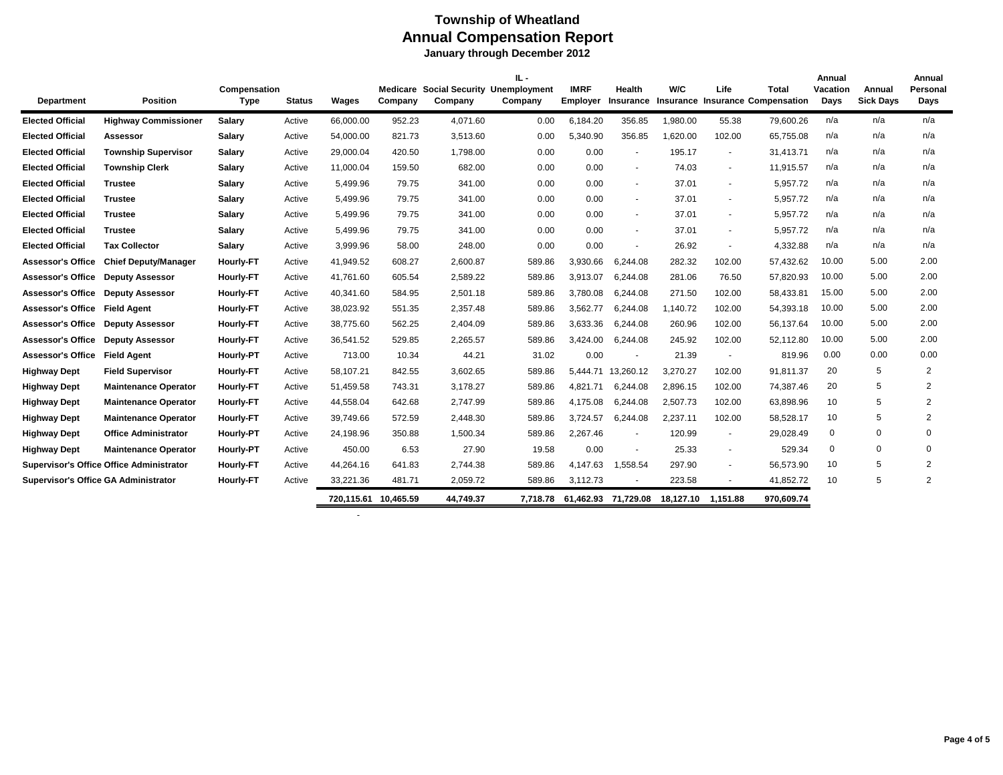|                                             |                                                 |                             |               |                      |                     |                                                | ш.       |                         |                          |          |                          |                                                         | Annual           |                            | Annual           |
|---------------------------------------------|-------------------------------------------------|-----------------------------|---------------|----------------------|---------------------|------------------------------------------------|----------|-------------------------|--------------------------|----------|--------------------------|---------------------------------------------------------|------------------|----------------------------|------------------|
| Department                                  | <b>Position</b>                                 | Compensation<br><b>Type</b> | <b>Status</b> | Wages                | Medicare<br>Company | <b>Social Security Unemployment</b><br>Company | Company  | <b>IMRF</b><br>Employer | Health<br>Insurance      | W/C      | Life                     | <b>Total</b><br><b>Insurance Insurance Compensation</b> | Vacation<br>Days | Annual<br><b>Sick Days</b> | Personal<br>Days |
|                                             |                                                 |                             |               |                      |                     |                                                |          |                         |                          |          |                          |                                                         |                  |                            |                  |
| <b>Elected Official</b>                     | <b>Highway Commissioner</b>                     | <b>Salary</b>               | Active        | 66,000.00            | 952.23              | 4,071.60                                       | 0.00     | 6,184.20                | 356.85                   | 1,980.00 | 55.38                    | 79,600.26                                               | n/a              | n/a                        | n/a              |
| <b>Elected Official</b>                     | Assessor                                        | <b>Salary</b>               | Active        | 54,000.00            | 821.73              | 3,513.60                                       | 0.00     | 5,340.90                | 356.85                   | 1.620.00 | 102.00                   | 65,755.08                                               | n/a              | n/a                        | n/a              |
| <b>Elected Official</b>                     | <b>Township Supervisor</b>                      | Salary                      | Active        | 29,000.04            | 420.50              | 1,798.00                                       | 0.00     | 0.00                    | $\sim$                   | 195.17   | $\sim$                   | 31.413.71                                               | n/a              | n/a                        | n/a              |
| <b>Elected Official</b>                     | <b>Township Clerk</b>                           | <b>Salary</b>               | Active        | 11,000.04            | 159.50              | 682.00                                         | 0.00     | 0.00                    | $\sim$                   | 74.03    | $\blacksquare$           | 11,915.57                                               | n/a              | n/a                        | n/a              |
| <b>Elected Official</b>                     | <b>Trustee</b>                                  | <b>Salary</b>               | Active        | 5,499.96             | 79.75               | 341.00                                         | 0.00     | 0.00                    | $\blacksquare$           | 37.01    | $\blacksquare$           | 5,957.72                                                | n/a              | n/a                        | n/a              |
| <b>Elected Official</b>                     | <b>Trustee</b>                                  | <b>Salary</b>               | Active        | 5,499.96             | 79.75               | 341.00                                         | 0.00     | 0.00                    | $\sim$                   | 37.01    | $\sim$                   | 5,957.72                                                | n/a              | n/a                        | n/a              |
| <b>Elected Official</b>                     | <b>Trustee</b>                                  | <b>Salary</b>               | Active        | 5,499.96             | 79.75               | 341.00                                         | 0.00     | 0.00                    | $\sim$                   | 37.01    | $\blacksquare$           | 5,957.72                                                | n/a              | n/a                        | n/a              |
| <b>Elected Official</b>                     | <b>Trustee</b>                                  | <b>Salary</b>               | Active        | 5,499.96             | 79.75               | 341.00                                         | 0.00     | 0.00                    | $\sim$                   | 37.01    | $\sim$                   | 5,957.72                                                | n/a              | n/a                        | n/a              |
| <b>Elected Official</b>                     | <b>Tax Collector</b>                            | <b>Salary</b>               | Active        | 3,999.96             | 58.00               | 248.00                                         | 0.00     | 0.00                    | $\blacksquare$           | 26.92    | ٠                        | 4,332.88                                                | n/a              | n/a                        | n/a              |
| <b>Assessor's Office</b>                    | <b>Chief Deputy/Manager</b>                     | <b>Hourly-FT</b>            | Active        | 41.949.52            | 608.27              | 2,600.87                                       | 589.86   | 3.930.66                | 6.244.08                 | 282.32   | 102.00                   | 57.432.62                                               | 10.00            | 5.00                       | 2.00             |
| <b>Assessor's Office</b>                    | <b>Deputy Assessor</b>                          | <b>Hourly-FT</b>            | Active        | 41,761.60            | 605.54              | 2,589.22                                       | 589.86   | 3,913.07                | 6,244.08                 | 281.06   | 76.50                    | 57,820.93                                               | 10.00            | 5.00                       | 2.00             |
| <b>Assessor's Office</b>                    | <b>Deputy Assessor</b>                          | <b>Hourly-FT</b>            | Active        | 40,341.60            | 584.95              | 2,501.18                                       | 589.86   | 3,780.08                | 6,244.08                 | 271.50   | 102.00                   | 58,433.81                                               | 15.00            | 5.00                       | 2.00             |
| <b>Assessor's Office</b>                    | <b>Field Agent</b>                              | <b>Hourly-FT</b>            | Active        | 38,023.92            | 551.35              | 2,357.48                                       | 589.86   | 3,562.77                | 6,244.08                 | 1.140.72 | 102.00                   | 54,393.18                                               | 10.00            | 5.00                       | 2.00             |
| <b>Assessor's Office</b>                    | <b>Deputy Assessor</b>                          | <b>Hourly-FT</b>            | Active        | 38.775.60            | 562.25              | 2,404.09                                       | 589.86   | 3,633.36                | 6,244.08                 | 260.96   | 102.00                   | 56,137.64                                               | 10.00            | 5.00                       | 2.00             |
| <b>Assessor's Office</b>                    | <b>Deputy Assessor</b>                          | <b>Hourly-FT</b>            | Active        | 36,541.52            | 529.85              | 2,265.57                                       | 589.86   | 3,424.00                | 6,244.08                 | 245.92   | 102.00                   | 52,112.80                                               | 10.00            | 5.00                       | 2.00             |
| <b>Assessor's Office</b>                    | <b>Field Agent</b>                              | <b>Hourly-PT</b>            | Active        | 713.00               | 10.34               | 44.21                                          | 31.02    | 0.00                    | $\sim$                   | 21.39    | $\sim$                   | 819.96                                                  | 0.00             | 0.00                       | 0.00             |
| <b>Highway Dept</b>                         | <b>Field Supervisor</b>                         | <b>Hourly-FT</b>            | Active        | 58.107.21            | 842.55              | 3,602.65                                       | 589.86   |                         | 5.444.71 13.260.12       | 3.270.27 | 102.00                   | 91.811.37                                               | 20               | 5                          | $\overline{2}$   |
| <b>Highway Dept</b>                         | <b>Maintenance Operator</b>                     | <b>Hourly-FT</b>            | Active        | 51,459.58            | 743.31              | 3,178.27                                       | 589.86   | 4,821.71                | 6,244.08                 | 2,896.15 | 102.00                   | 74,387.46                                               | 20               | 5                          | $\overline{2}$   |
| <b>Highway Dept</b>                         | <b>Maintenance Operator</b>                     | <b>Hourly-FT</b>            | Active        | 44,558.04            | 642.68              | 2,747.99                                       | 589.86   | 4.175.08                | 6,244.08                 | 2,507.73 | 102.00                   | 63,898.96                                               | 10               | 5                          | $\overline{2}$   |
| <b>Highway Dept</b>                         | <b>Maintenance Operator</b>                     | <b>Hourly-FT</b>            | Active        | 39.749.66            | 572.59              | 2,448.30                                       | 589.86   | 3.724.57                | 6,244.08                 | 2.237.11 | 102.00                   | 58,528.17                                               | 10               | 5                          | $\overline{2}$   |
| <b>Highway Dept</b>                         | <b>Office Administrator</b>                     | <b>Hourly-PT</b>            | Active        | 24,198.96            | 350.88              | 1,500.34                                       | 589.86   | 2,267.46                | $\overline{\phantom{a}}$ | 120.99   | $\overline{\phantom{a}}$ | 29,028.49                                               | 0                | 0                          | $\mathbf 0$      |
| <b>Highway Dept</b>                         | <b>Maintenance Operator</b>                     | <b>Hourly-PT</b>            | Active        | 450.00               | 6.53                | 27.90                                          | 19.58    | 0.00                    | $\sim$                   | 25.33    | $\sim$                   | 529.34                                                  | $\mathbf 0$      | $\mathbf 0$                | $\Omega$         |
|                                             | <b>Supervisor's Office Office Administrator</b> | <b>Hourly-FT</b>            | Active        | 44,264.16            | 641.83              | 2,744.38                                       | 589.86   | 4,147.63                | 1,558.54                 | 297.90   | $\sim$                   | 56,573.90                                               | 10               | 5                          | $\overline{2}$   |
| <b>Supervisor's Office GA Administrator</b> |                                                 | <b>Hourly-FT</b>            | Active        | 33,221.36            | 481.71              | 2,059.72                                       | 589.86   | 3,112.73                |                          | 223.58   |                          | 41,852.72                                               | 10               | 5                          | $\overline{2}$   |
|                                             |                                                 |                             |               | 720,115.61 10,465.59 |                     | 44,749.37                                      | 7,718.78 |                         | 61,462.93 71,729.08      |          | 18,127.10 1,151.88       | 970,609.74                                              |                  |                            |                  |

-